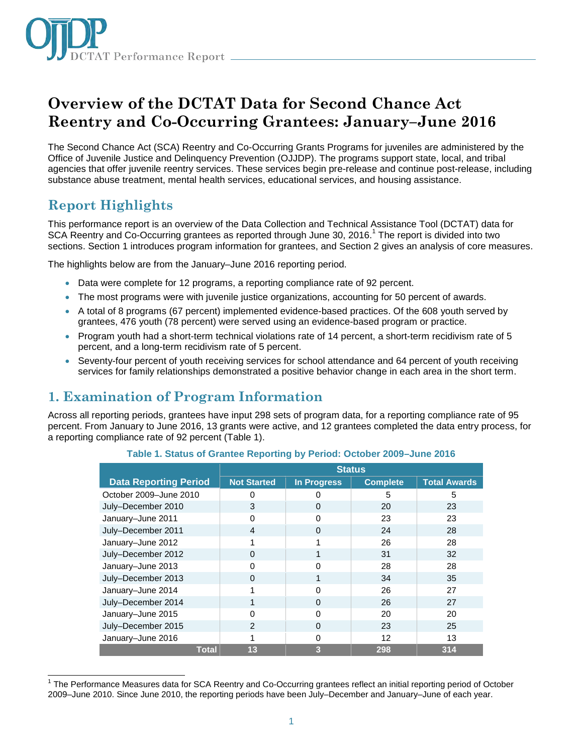

# **Overview of the DCTAT Data for Second Chance Act Reentry and Co-Occurring Grantees: January–June 2016**

The Second Chance Act (SCA) Reentry and Co-Occurring Grants Programs for juveniles are administered by the Office of Juvenile Justice and Delinquency Prevention (OJJDP). The programs support state, local, and tribal agencies that offer juvenile reentry services. These services begin pre-release and continue post-release, including substance abuse treatment, mental health services, educational services, and housing assistance.

## **Report Highlights**

j

This performance report is an overview of the Data Collection and Technical Assistance Tool (DCTAT) data for SCA Reentry and Co-Occurring grantees as reported through June 30, 2016.<sup>1</sup> The report is divided into two sections. Section 1 introduces program information for grantees, and Section 2 gives an analysis of core measures.

The highlights below are from the January–June 2016 reporting period.

- Data were complete for 12 programs, a reporting compliance rate of 92 percent.
- The most programs were with juvenile justice organizations, accounting for 50 percent of awards.
- A total of 8 programs (67 percent) implemented evidence-based practices. Of the 608 youth served by grantees, 476 youth (78 percent) were served using an evidence-based program or practice.
- Program youth had a short-term technical violations rate of 14 percent, a short-term recidivism rate of 5 percent, and a long-term recidivism rate of 5 percent.
- Seventy-four percent of youth receiving services for school attendance and 64 percent of youth receiving services for family relationships demonstrated a positive behavior change in each area in the short term.

## **1. Examination of Program Information**

Across all reporting periods, grantees have input 298 sets of program data, for a reporting compliance rate of 95 percent. From January to June 2016, 13 grants were active, and 12 grantees completed the data entry process, for a reporting compliance rate of 92 percent (Table 1).

|                              | <b>Status</b>      |                    |                 |                     |  |
|------------------------------|--------------------|--------------------|-----------------|---------------------|--|
| <b>Data Reporting Period</b> | <b>Not Started</b> | <b>In Progress</b> | <b>Complete</b> | <b>Total Awards</b> |  |
| October 2009-June 2010       | O                  |                    | 5               | 5                   |  |
| July-December 2010           | 3                  | $\Omega$           | 20              | 23                  |  |
| January-June 2011            | ი                  | 0                  | 23              | 23                  |  |
| July-December 2011           | 4                  | $\Omega$           | 24              | 28                  |  |
| January-June 2012            | 1                  |                    | 26              | 28                  |  |
| July-December 2012           | 0                  |                    | 31              | 32                  |  |
| January-June 2013            | O                  | $\Omega$           | 28              | 28                  |  |
| July-December 2013           | O                  |                    | 34              | 35                  |  |
| January-June 2014            |                    |                    | 26              | 27                  |  |
| July-December 2014           |                    | $\Omega$           | 26              | 27                  |  |
| January-June 2015            | O                  | $\Omega$           | 20              | 20                  |  |
| July-December 2015           | $\mathcal{P}$      | $\Omega$           | 23              | 25                  |  |
| January-June 2016            |                    | $\Omega$           | 12              | 13                  |  |
| <b>Total</b>                 | 13                 | 3                  | 298             | 314                 |  |

**Table 1. Status of Grantee Reporting by Period: October 2009–June 2016**

<sup>1</sup> The Performance Measures data for SCA Reentry and Co-Occurring grantees reflect an initial reporting period of October 2009–June 2010. Since June 2010, the reporting periods have been July–December and January–June of each year.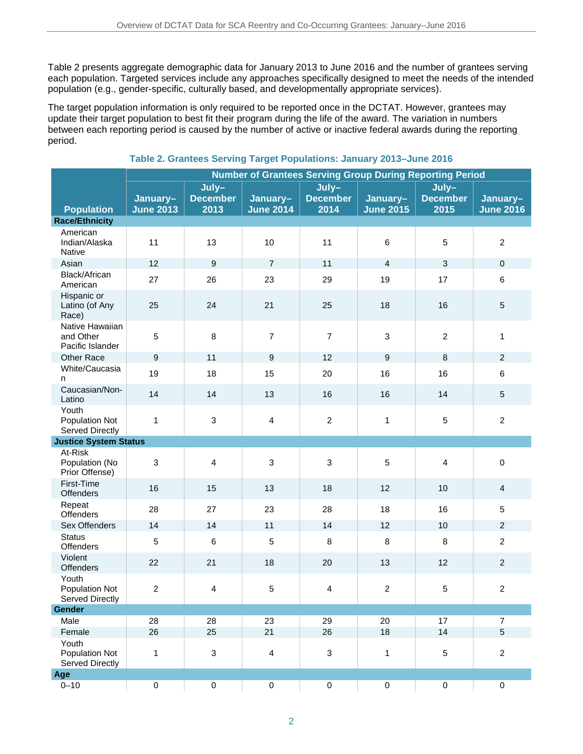Table 2 presents aggregate demographic data for January 2013 to June 2016 and the number of grantees serving each population. Targeted services include any approaches specifically designed to meet the needs of the intended population (e.g., gender-specific, culturally based, and developmentally appropriate services).

The target population information is only required to be reported once in the DCTAT. However, grantees may update their target population to best fit their program during the life of the award. The variation in numbers between each reporting period is caused by the number of active or inactive federal awards during the reporting period.

|                                                  | <b>Number of Grantees Serving Group During Reporting Period</b> |                                  |                              |                                  |                              |                                    |                              |
|--------------------------------------------------|-----------------------------------------------------------------|----------------------------------|------------------------------|----------------------------------|------------------------------|------------------------------------|------------------------------|
| <b>Population</b>                                | January-<br><b>June 2013</b>                                    | July-<br><b>December</b><br>2013 | January-<br><b>June 2014</b> | July-<br><b>December</b><br>2014 | January-<br><b>June 2015</b> | $July-$<br><b>December</b><br>2015 | January-<br><b>June 2016</b> |
| <b>Race/Ethnicity</b>                            |                                                                 |                                  |                              |                                  |                              |                                    |                              |
| American<br>Indian/Alaska<br>Native              | 11                                                              | 13                               | 10                           | 11                               | 6                            | 5                                  | $\overline{c}$               |
| Asian                                            | 12                                                              | $\boldsymbol{9}$                 | $\overline{7}$               | 11                               | $\overline{4}$               | 3                                  | $\mathbf 0$                  |
| Black/African<br>American                        | 27                                                              | 26                               | 23                           | 29                               | 19                           | 17                                 | 6                            |
| Hispanic or<br>Latino (of Any<br>Race)           | 25                                                              | 24                               | 21                           | 25                               | 18                           | 16                                 | 5                            |
| Native Hawaiian<br>and Other<br>Pacific Islander | $\sqrt{5}$                                                      | 8                                | $\overline{7}$               | $\overline{7}$                   | 3                            | $\overline{2}$                     | 1                            |
| <b>Other Race</b>                                | 9                                                               | 11                               | 9                            | 12                               | 9                            | 8                                  | $\overline{c}$               |
| White/Caucasia<br>n                              | 19                                                              | 18                               | 15                           | 20                               | 16                           | 16                                 | 6                            |
| Caucasian/Non-<br>Latino                         | 14                                                              | 14                               | 13                           | 16                               | 16                           | 14                                 | $\sqrt{5}$                   |
| Youth<br>Population Not<br>Served Directly       | 1                                                               | $\sqrt{3}$                       | $\overline{\mathbf{4}}$      | $\overline{2}$                   | 1                            | 5                                  | $\overline{c}$               |
| <b>Justice System Status</b>                     |                                                                 |                                  |                              |                                  |                              |                                    |                              |
| At-Risk<br>Population (No<br>Prior Offense)      | $\mathsf 3$                                                     | $\overline{4}$                   | 3                            | 3                                | 5                            | 4                                  | $\pmb{0}$                    |
| First-Time<br><b>Offenders</b>                   | 16                                                              | 15                               | 13                           | 18                               | 12                           | 10                                 | 4                            |
| Repeat<br>Offenders                              | 28                                                              | 27                               | 23                           | 28                               | 18                           | 16                                 | 5                            |
| Sex Offenders                                    | 14                                                              | 14                               | 11                           | 14                               | 12                           | 10                                 | $\overline{c}$               |
| <b>Status</b><br><b>Offenders</b>                | 5                                                               | 6                                | 5                            | 8                                | 8                            | $\, 8$                             | $\overline{c}$               |
| Violent<br>Offenders                             | 22                                                              | 21                               | 18                           | 20                               | 13                           | 12                                 | $\overline{c}$               |
| Youth<br>Population Not<br>Served Directly       | $\overline{c}$                                                  | 4                                | $\sqrt{5}$                   | 4                                | $\overline{c}$               | 5                                  | $\overline{c}$               |
| Gender                                           |                                                                 |                                  |                              |                                  |                              |                                    |                              |
| Male                                             | 28                                                              | 28                               | 23                           | 29                               | 20                           | 17                                 | $\overline{7}$               |
| Female                                           | 26                                                              | 25                               | 21                           | 26                               | 18                           | 14                                 | 5                            |
| Youth<br>Population Not<br>Served Directly       | 1                                                               | $\mathbf 3$                      | $\overline{4}$               | $\sqrt{3}$                       | 1                            | 5                                  | $\overline{c}$               |
| Age                                              |                                                                 |                                  |                              |                                  |                              |                                    |                              |
| $0 - 10$                                         | $\pmb{0}$                                                       | $\pmb{0}$                        | $\pmb{0}$                    | $\pmb{0}$                        | $\pmb{0}$                    | $\pmb{0}$                          | $\mathbf 0$                  |

#### **Table 2. Grantees Serving Target Populations: January 2013–June 2016**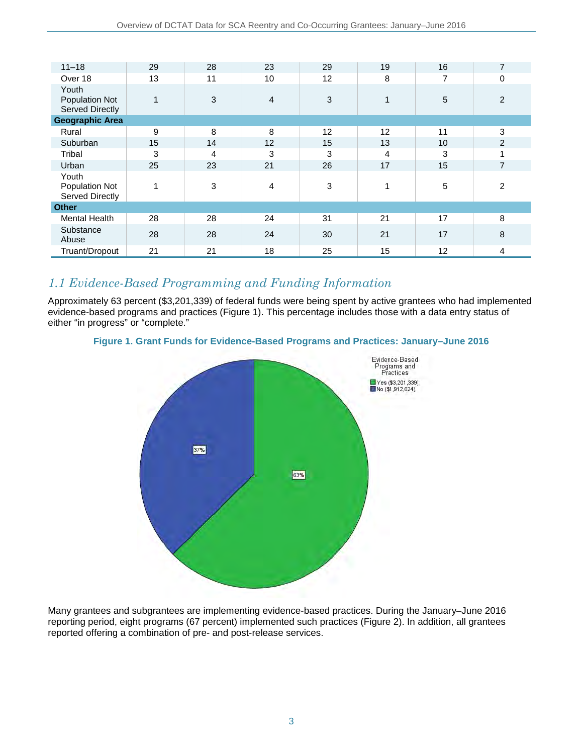| $11 - 18$                                         | 29           | 28 | 23 | 29 | 19 | 16 | $\overline{7}$ |
|---------------------------------------------------|--------------|----|----|----|----|----|----------------|
| Over 18                                           | 13           | 11 | 10 | 12 | 8  | 7  | 0              |
| Youth<br>Population Not<br><b>Served Directly</b> | $\mathbf{1}$ | 3  | 4  | 3  | 1  | 5  | 2              |
| <b>Geographic Area</b>                            |              |    |    |    |    |    |                |
| Rural                                             | 9            | 8  | 8  | 12 | 12 | 11 | 3              |
| Suburban                                          | 15           | 14 | 12 | 15 | 13 | 10 | $\overline{2}$ |
| Tribal                                            | 3            | 4  | 3  | 3  | 4  | 3  | 4              |
| Urban                                             | 25           | 23 | 21 | 26 | 17 | 15 | $\overline{7}$ |
| Youth<br>Population Not<br><b>Served Directly</b> |              | 3  | 4  | 3  | 1  | 5  | 2              |
| <b>Other</b>                                      |              |    |    |    |    |    |                |
| <b>Mental Health</b>                              | 28           | 28 | 24 | 31 | 21 | 17 | 8              |
| Substance<br>Abuse                                | 28           | 28 | 24 | 30 | 21 | 17 | 8              |
| Truant/Dropout                                    | 21           | 21 | 18 | 25 | 15 | 12 | 4              |

## *1.1 Evidence-Based Programming and Funding Information*

Approximately 63 percent (\$3,201,339) of federal funds were being spent by active grantees who had implemented evidence-based programs and practices (Figure 1). This percentage includes those with a data entry status of either "in progress" or "complete."

#### **Figure 1. Grant Funds for Evidence-Based Programs and Practices: January–June 2016**



Many grantees and subgrantees are implementing evidence-based practices. During the January–June 2016 reporting period, eight programs (67 percent) implemented such practices (Figure 2). In addition, all grantees reported offering a combination of pre- and post-release services.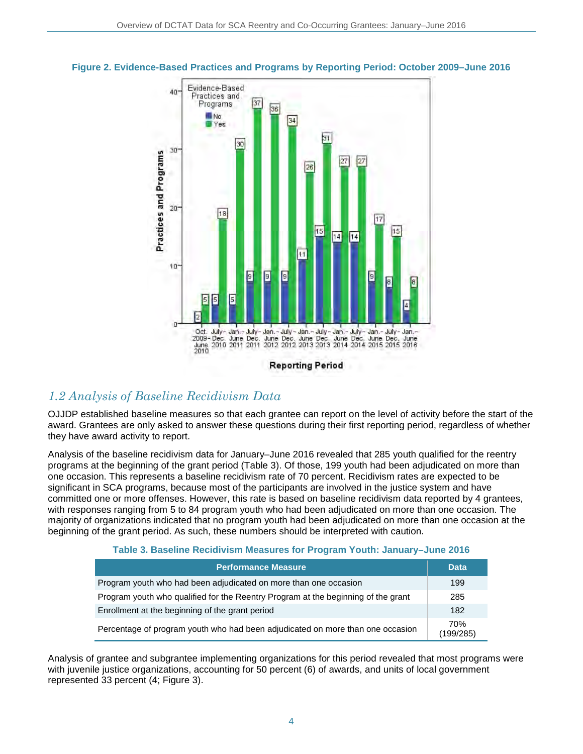

#### **Figure 2. Evidence-Based Practices and Programs by Reporting Period: October 2009–June 2016**

### *1.2 Analysis of Baseline Recidivism Data*

OJJDP established baseline measures so that each grantee can report on the level of activity before the start of the award. Grantees are only asked to answer these questions during their first reporting period, regardless of whether they have award activity to report.

Analysis of the baseline recidivism data for January–June 2016 revealed that 285 youth qualified for the reentry programs at the beginning of the grant period (Table 3). Of those, 199 youth had been adjudicated on more than one occasion. This represents a baseline recidivism rate of 70 percent. Recidivism rates are expected to be significant in SCA programs, because most of the participants are involved in the justice system and have committed one or more offenses. However, this rate is based on baseline recidivism data reported by 4 grantees, with responses ranging from 5 to 84 program youth who had been adjudicated on more than one occasion. The majority of organizations indicated that no program youth had been adjudicated on more than one occasion at the beginning of the grant period. As such, these numbers should be interpreted with caution.

#### **Table 3. Baseline Recidivism Measures for Program Youth: January–June 2016**

| <b>Performance Measure</b>                                                        | <b>Data</b>      |
|-----------------------------------------------------------------------------------|------------------|
| Program youth who had been adjudicated on more than one occasion                  | 199              |
| Program youth who qualified for the Reentry Program at the beginning of the grant | 285              |
| Enrollment at the beginning of the grant period                                   | 182              |
| Percentage of program youth who had been adjudicated on more than one occasion    | 70%<br>(199/285) |

Analysis of grantee and subgrantee implementing organizations for this period revealed that most programs were with juvenile justice organizations, accounting for 50 percent (6) of awards, and units of local government represented 33 percent (4; Figure 3).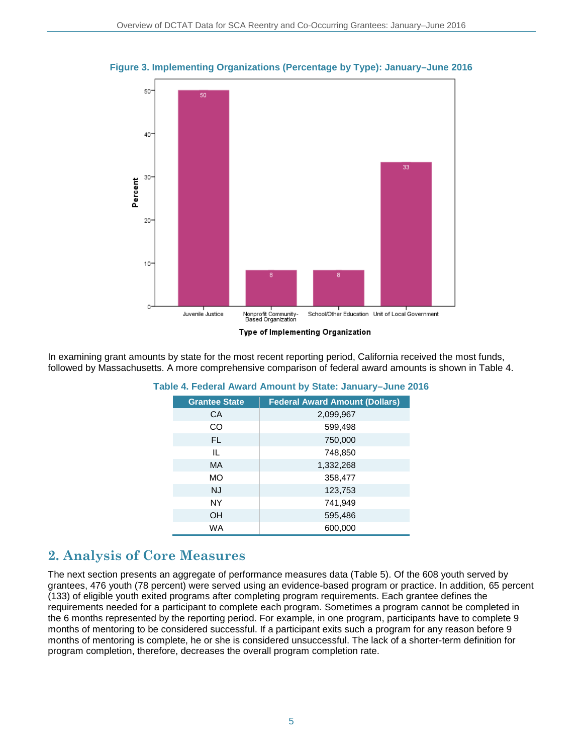

#### **Figure 3. Implementing Organizations (Percentage by Type): January–June 2016**

In examining grant amounts by state for the most recent reporting period, California received the most funds, followed by Massachusetts. A more comprehensive comparison of federal award amounts is shown in Table 4.

| <b>Grantee State</b> | <b>Federal Award Amount (Dollars)</b> |
|----------------------|---------------------------------------|
| CA                   | 2,099,967                             |
| CO                   | 599,498                               |
| FL.                  | 750,000                               |
| IL.                  | 748,850                               |
| МA                   | 1,332,268                             |
| <b>MO</b>            | 358,477                               |
| <b>NJ</b>            | 123,753                               |
| NY                   | 741,949                               |
| OH                   | 595,486                               |
| WA                   | 600,000                               |

**Table 4. Federal Award Amount by State: January–June 2016**

### **2. Analysis of Core Measures**

The next section presents an aggregate of performance measures data (Table 5). Of the 608 youth served by grantees, 476 youth (78 percent) were served using an evidence-based program or practice. In addition, 65 percent (133) of eligible youth exited programs after completing program requirements. Each grantee defines the requirements needed for a participant to complete each program. Sometimes a program cannot be completed in the 6 months represented by the reporting period. For example, in one program, participants have to complete 9 months of mentoring to be considered successful. If a participant exits such a program for any reason before 9 months of mentoring is complete, he or she is considered unsuccessful. The lack of a shorter-term definition for program completion, therefore, decreases the overall program completion rate.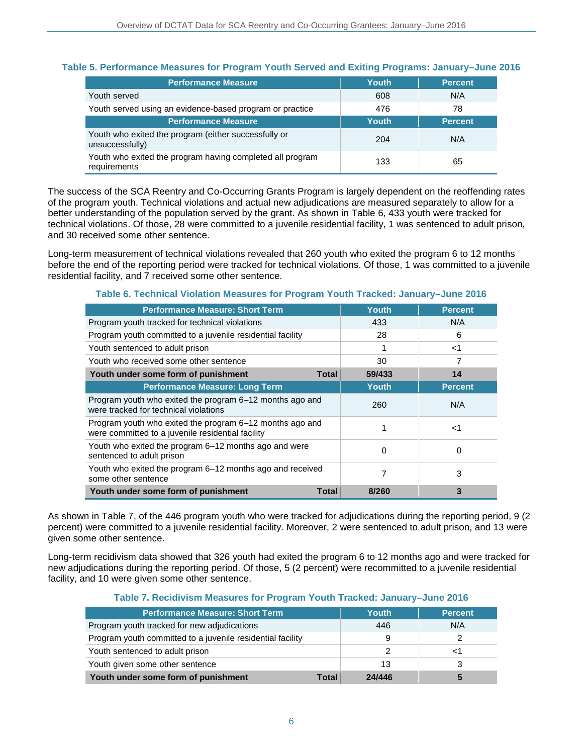#### **Table 5. Performance Measures for Program Youth Served and Exiting Programs: January–June 2016**

| <b>Performance Measure</b>                                                | Youth | <b>Percent</b> |
|---------------------------------------------------------------------------|-------|----------------|
| Youth served                                                              | 608   | N/A            |
| Youth served using an evidence-based program or practice                  | 476   | 78             |
| <b>Performance Measure</b>                                                | Youth | <b>Percent</b> |
| Youth who exited the program (either successfully or<br>unsuccessfully)   | 204   | N/A            |
| Youth who exited the program having completed all program<br>requirements | 133   | 65             |

The success of the SCA Reentry and Co-Occurring Grants Program is largely dependent on the reoffending rates of the program youth. Technical violations and actual new adjudications are measured separately to allow for a better understanding of the population served by the grant. As shown in Table 6, 433 youth were tracked for technical violations. Of those, 28 were committed to a juvenile residential facility, 1 was sentenced to adult prison, and 30 received some other sentence.

Long-term measurement of technical violations revealed that 260 youth who exited the program 6 to 12 months before the end of the reporting period were tracked for technical violations. Of those, 1 was committed to a juvenile residential facility, and 7 received some other sentence.

| <b>Performance Measure: Short Term</b>                                                                        | Youth  | <b>Percent</b> |
|---------------------------------------------------------------------------------------------------------------|--------|----------------|
| Program youth tracked for technical violations                                                                | 433    | N/A            |
| Program youth committed to a juvenile residential facility                                                    | 28     | 6              |
| Youth sentenced to adult prison                                                                               |        | -1             |
| Youth who received some other sentence                                                                        | 30     | 7              |
| Youth under some form of punishment<br>Total                                                                  | 59/433 | 14             |
| <b>Performance Measure: Long Term</b>                                                                         | Youth  | <b>Percent</b> |
| Program youth who exited the program 6–12 months ago and<br>were tracked for technical violations             | 260    | N/A            |
| Program youth who exited the program 6–12 months ago and<br>were committed to a juvenile residential facility | 1      | ا>             |
| Youth who exited the program 6–12 months ago and were<br>sentenced to adult prison                            | 0      | 0              |
| Youth who exited the program 6–12 months ago and received<br>some other sentence                              | 7      | 3              |
| Youth under some form of punishment<br>Total                                                                  | 8/260  | 3              |

**Table 6. Technical Violation Measures for Program Youth Tracked: January–June 2016**

As shown in Table 7, of the 446 program youth who were tracked for adjudications during the reporting period, 9 (2 percent) were committed to a juvenile residential facility. Moreover, 2 were sentenced to adult prison, and 13 were given some other sentence.

Long-term recidivism data showed that 326 youth had exited the program 6 to 12 months ago and were tracked for new adjudications during the reporting period. Of those, 5 (2 percent) were recommitted to a juvenile residential facility, and 10 were given some other sentence.

#### **Table 7. Recidivism Measures for Program Youth Tracked: January–June 2016**

| <b>Performance Measure: Short Term</b>                     | Youth  | <b>Percent</b> |
|------------------------------------------------------------|--------|----------------|
| Program youth tracked for new adjudications                | 446    | N/A            |
| Program youth committed to a juvenile residential facility | 9      |                |
| Youth sentenced to adult prison                            |        |                |
| Youth given some other sentence                            | 13     |                |
| Youth under some form of punishment<br>Total               | 24/446 |                |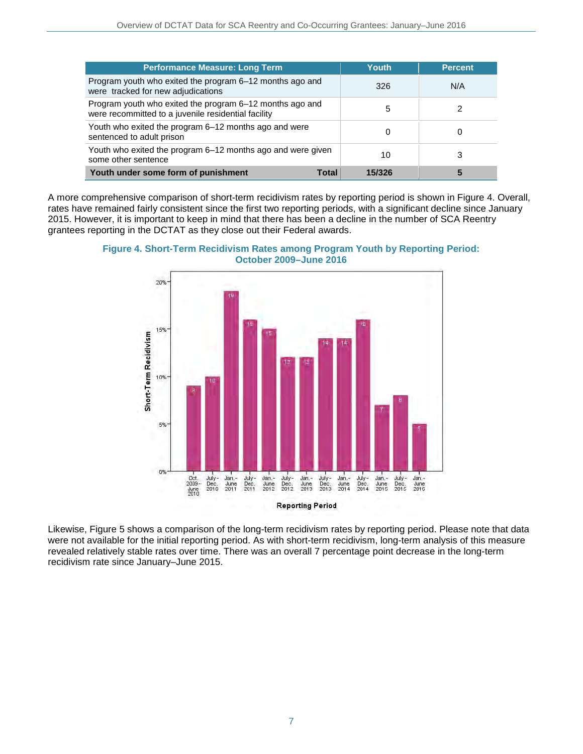| <b>Performance Measure: Long Term</b>                                                                           | Youth  | <b>Percent</b> |
|-----------------------------------------------------------------------------------------------------------------|--------|----------------|
| Program youth who exited the program 6–12 months ago and<br>were tracked for new adjudications                  | 326    | N/A            |
| Program youth who exited the program 6–12 months ago and<br>were recommitted to a juvenile residential facility | 5      | 2              |
| Youth who exited the program 6–12 months ago and were<br>sentenced to adult prison                              | 0      | O              |
| Youth who exited the program 6–12 months ago and were given<br>some other sentence                              | 10     | 3              |
| Youth under some form of punishment<br>Total                                                                    | 15/326 | 5              |

A more comprehensive comparison of short-term recidivism rates by reporting period is shown in Figure 4. Overall, rates have remained fairly consistent since the first two reporting periods, with a significant decline since January 2015. However, it is important to keep in mind that there has been a decline in the number of SCA Reentry grantees reporting in the DCTAT as they close out their Federal awards.



**Figure 4. Short-Term Recidivism Rates among Program Youth by Reporting Period: October 2009–June 2016**

Likewise, Figure 5 shows a comparison of the long-term recidivism rates by reporting period. Please note that data were not available for the initial reporting period. As with short-term recidivism, long-term analysis of this measure revealed relatively stable rates over time. There was an overall 7 percentage point decrease in the long-term recidivism rate since January–June 2015.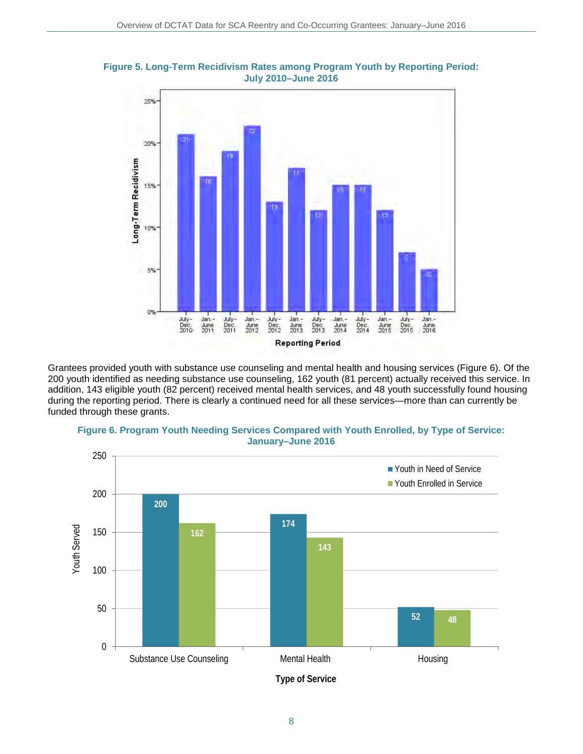



Grantees provided youth with substance use counseling and mental health and housing services (Figure 6). Of the 200 youth identified as needing substance use counseling, 162 youth (81 percent) actually received this service. In addition, 143 eligible youth (82 percent) received mental health services, and 48 youth successfully found housing during the reporting period. There is clearly a continued need for all these services—more than can currently be funded through these grants.





**Type of Service**